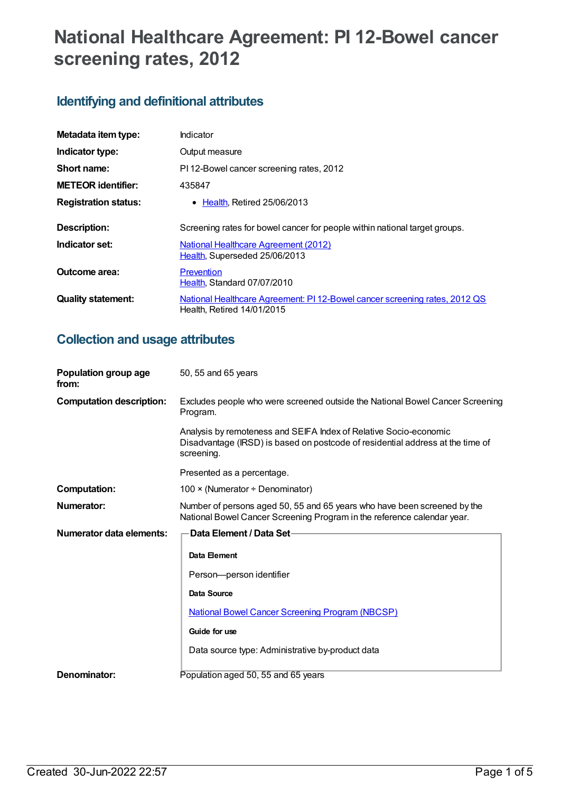# **National Healthcare Agreement: PI 12-Bowel cancer screening rates, 2012**

# **Identifying and definitional attributes**

| Metadata item type:         | Indicator                                                                                                |  |
|-----------------------------|----------------------------------------------------------------------------------------------------------|--|
| Indicator type:             | Output measure                                                                                           |  |
| Short name:                 | PI 12-Bowel cancer screening rates, 2012                                                                 |  |
| <b>METEOR identifier:</b>   | 435847                                                                                                   |  |
| <b>Registration status:</b> | $\bullet$ Health. Retired 25/06/2013                                                                     |  |
| <b>Description:</b>         | Screening rates for bowel cancer for people within national target groups.                               |  |
| Indicator set:              | <b>National Healthcare Agreement (2012)</b><br>Health, Superseded 25/06/2013                             |  |
| Outcome area:               | Prevention<br>Health, Standard 07/07/2010                                                                |  |
| <b>Quality statement:</b>   | National Healthcare Agreement: PI 12-Bowel cancer screening rates, 2012 QS<br>Health, Retired 14/01/2015 |  |

# **Collection and usage attributes**

| Population group age<br>from:   | 50, 55 and 65 years                                                                                                                                               |  |
|---------------------------------|-------------------------------------------------------------------------------------------------------------------------------------------------------------------|--|
| <b>Computation description:</b> | Excludes people who were screened outside the National Bowel Cancer Screening<br>Program.                                                                         |  |
|                                 | Analysis by remoteness and SEIFA Index of Relative Socio-economic<br>Disadvantage (IRSD) is based on postcode of residential address at the time of<br>screening. |  |
|                                 | Presented as a percentage.                                                                                                                                        |  |
| <b>Computation:</b>             | 100 × (Numerator ÷ Denominator)                                                                                                                                   |  |
| Numerator:                      | Number of persons aged 50, 55 and 65 years who have been screened by the<br>National Bowel Cancer Screening Program in the reference calendar year.               |  |
| Numerator data elements:        | Data Element / Data Set-                                                                                                                                          |  |
|                                 | Data Element                                                                                                                                                      |  |
|                                 |                                                                                                                                                                   |  |
|                                 | Person-person identifier                                                                                                                                          |  |
|                                 | Data Source                                                                                                                                                       |  |
|                                 | <b>National Bowel Cancer Screening Program (NBCSP)</b>                                                                                                            |  |
|                                 | Guide for use                                                                                                                                                     |  |
|                                 | Data source type: Administrative by-product data                                                                                                                  |  |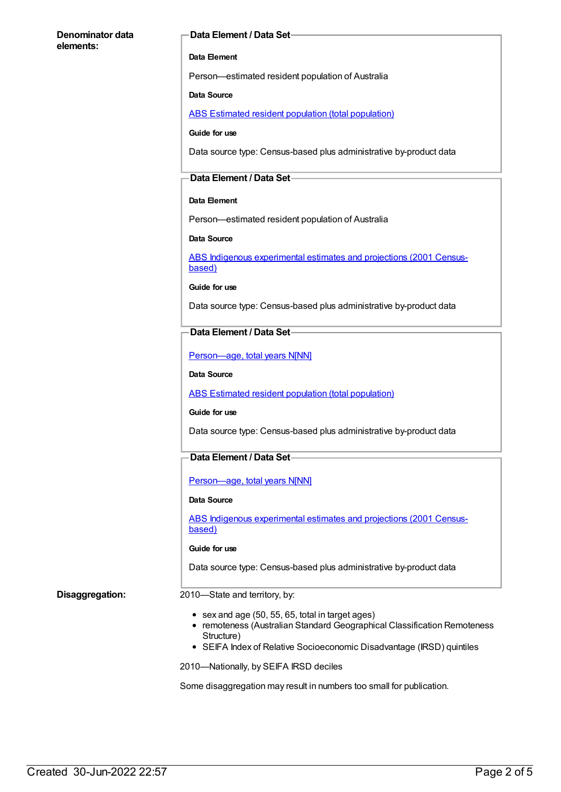#### **Denominator data elements:**

#### **Data Element / Data Set**

#### **Data Element**

Person—estimated resident population of Australia

#### **Data Source**

ABS Estimated resident population (total [population\)](https://meteor.aihw.gov.au/content/393625)

#### **Guide for use**

Data source type: Census-based plus administrative by-product data

#### **Data Element / Data Set**

#### **Data Element**

Person—estimated resident population of Australia

#### **Data Source**

ABS Indigenous [experimental](https://meteor.aihw.gov.au/content/394092) estimates and projections (2001 Censusbased)

**Guide for use**

Data source type: Census-based plus administrative by-product data

#### **Data Element / Data Set**

[Person—age,](https://meteor.aihw.gov.au/content/303794) total years N[NN]

#### **Data Source**

ABS Estimated resident population (total [population\)](https://meteor.aihw.gov.au/content/393625)

#### **Guide for use**

Data source type: Census-based plus administrative by-product data

### **Data Element / Data Set**

[Person—age,](https://meteor.aihw.gov.au/content/303794) total years N[NN]

#### **Data Source**

ABS Indigenous [experimental](https://meteor.aihw.gov.au/content/394092) estimates and projections (2001 Censusbased)

#### **Guide for use**

Data source type: Census-based plus administrative by-product data

#### **Disaggregation:** 2010—State and territory, by:

- $\bullet$  sex and age (50, 55, 65, total in target ages)
- remoteness (Australian Standard Geographical Classification Remoteness Structure)
- SEIFA Index of Relative Socioeconomic Disadvantage (IRSD) quintiles

2010—Nationally, by SEIFA IRSD deciles

Some disaggregation may result in numbers too small for publication.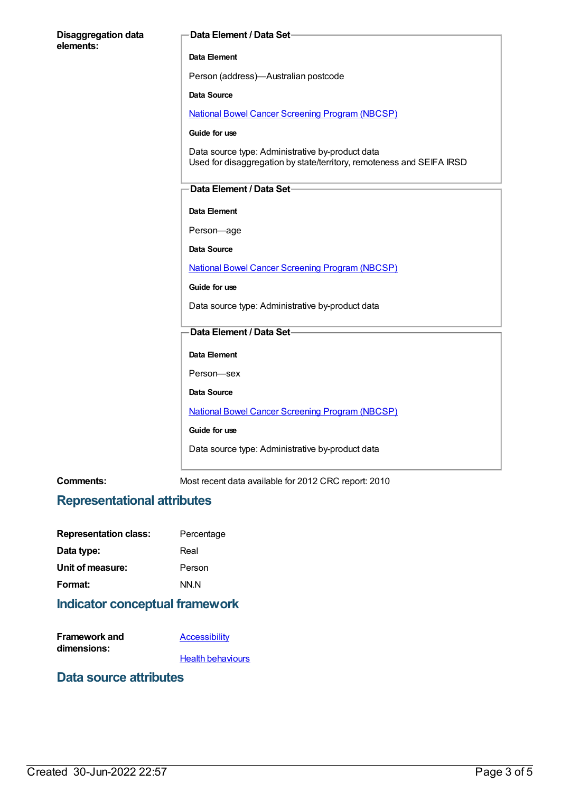| <b>Disaggregation data</b><br>elements: | Data Element / Data Set-                                                                                                  |
|-----------------------------------------|---------------------------------------------------------------------------------------------------------------------------|
|                                         | Data Element                                                                                                              |
|                                         | Person (address)-Australian postcode                                                                                      |
|                                         | <b>Data Source</b>                                                                                                        |
|                                         | <b>National Bowel Cancer Screening Program (NBCSP)</b>                                                                    |
|                                         | Guide for use                                                                                                             |
|                                         | Data source type: Administrative by-product data<br>Used for disaggregation by state/territory, remoteness and SEIFA IRSD |
|                                         | Data Element / Data Set-                                                                                                  |
|                                         | Data Element                                                                                                              |
|                                         | Person-age                                                                                                                |
|                                         | <b>Data Source</b>                                                                                                        |
|                                         | <b>National Bowel Cancer Screening Program (NBCSP)</b>                                                                    |
|                                         | Guide for use                                                                                                             |
|                                         | Data source type: Administrative by-product data                                                                          |
|                                         | Data Element / Data Set-                                                                                                  |
|                                         | Data Element                                                                                                              |
|                                         | Person-sex                                                                                                                |
|                                         | <b>Data Source</b>                                                                                                        |
|                                         | <b>National Bowel Cancer Screening Program (NBCSP)</b>                                                                    |
|                                         | Guide for use                                                                                                             |
|                                         | Data source type: Administrative by-product data                                                                          |
| Comments:                               | Most recent data available for 2012 CRC report: 2010                                                                      |

# **Representational attributes**

| <b>Representation class:</b> | Percentage |
|------------------------------|------------|
| Data type:                   | Real       |
| Unit of measure:             | Person     |
| Format:                      | NN.N       |
|                              |            |

# **Indicator conceptual framework**

| <b>Framework and</b> | Accessibility            |
|----------------------|--------------------------|
| dimensions:          |                          |
|                      | <b>Health behaviours</b> |

### **Data source attributes**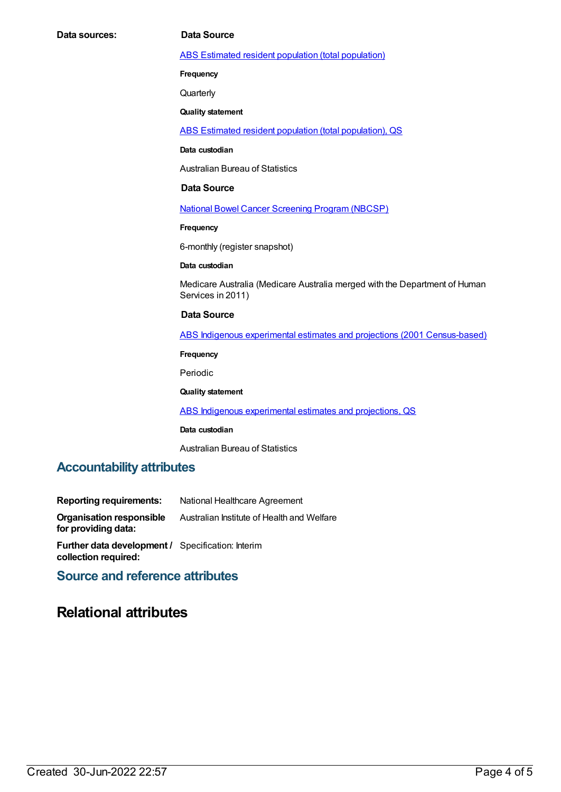#### ABS Estimated resident population (total [population\)](https://meteor.aihw.gov.au/content/393625)

**Frequency**

**Quarterly** 

**Quality statement**

ABS Estimated resident population (total [population\),](https://meteor.aihw.gov.au/content/449216) QS

**Data custodian**

Australian Bureau of Statistics

#### **Data Source**

National Bowel Cancer [Screening](https://meteor.aihw.gov.au/content/394277) Program (NBCSP)

**Frequency**

6-monthly (register snapshot)

#### **Data custodian**

Medicare Australia (Medicare Australia merged with the Department of Human Services in 2011)

#### **Data Source**

ABS Indigenous experimental estimates and projections (2001 [Census-based\)](https://meteor.aihw.gov.au/content/394092)

**Frequency**

Periodic

#### **Quality statement**

ABS Indigenous [experimental](https://meteor.aihw.gov.au/content/449223) estimates and projections, QS

#### **Data custodian**

Australian Bureau of Statistics

### **Accountability attributes**

| <b>Reporting requirements:</b>                                                   | National Healthcare Agreement              |
|----------------------------------------------------------------------------------|--------------------------------------------|
| <b>Organisation responsible</b><br>for providing data:                           | Australian Institute of Health and Welfare |
| <b>Further data development / Specification: Interim</b><br>collection required: |                                            |

### **Source and reference attributes**

### **Relational attributes**